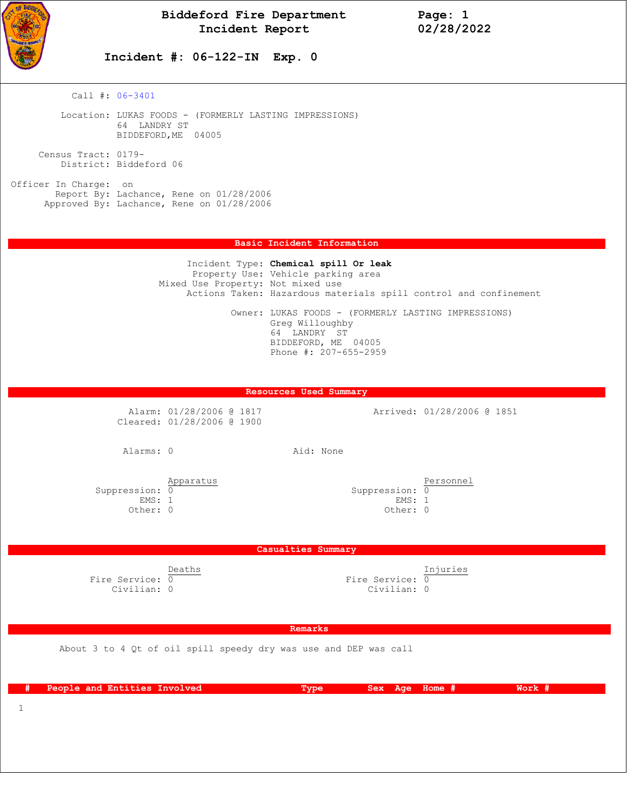

## **Incident #: 06-122-IN Exp. 0**

Call #: 06-3401

 Location: LUKAS FOODS - (FORMERLY LASTING IMPRESSIONS) 64 LANDRY ST BIDDEFORD,ME 04005

 Census Tract: 0179- District: Biddeford 06

Officer In Charge: on Report By: Lachance, Rene on 01/28/2006 Approved By: Lachance, Rene on 01/28/2006

#### **Basic Incident Information**

 Incident Type: **Chemical spill Or leak** Property Use: Vehicle parking area Mixed Use Property: Not mixed use Actions Taken: Hazardous materials spill control and confinement Owner: LUKAS FOODS - (FORMERLY LASTING IMPRESSIONS) Greg Willoughby 64 LANDRY ST BIDDEFORD, ME 04005 Phone #: 207-655-2959

### **Resources Used Summary**

Alarm: 01/28/2006 @ 1817 <br>
Arrived: 01/28/2006 @ 1851 Cleared: 01/28/2006 @ 1900

Alarms: 0 Aid: None

 $\begin{array}{c} \text{Approx} \\ \text{Suppression:} \end{array}$  $S$ uppression:  $\overline{0}$ <br>
EMS: 1 EMS: 1 EMS: 1 EMS: 1

Other: 0 Other: 0 Other: 0 Other: 0

#### **Casualties Summary**

 Deaths Injuries Fire Service:  $\overline{0}$   $\overline{0}$   $\overline{0}$   $\overline{1}$   $\overline{1}$   $\overline{0}$   $\overline{1}$   $\overline{1}$   $\overline{1}$   $\overline{1}$   $\overline{0}$   $\overline{1}$   $\overline{1}$   $\overline{1}$   $\overline{1}$   $\overline{1}$   $\overline{1}$   $\overline{1}$   $\overline{1}$   $\overline{1}$   $\overline{1}$   $\overline{1}$   $\overline{1}$  Civilian: 0 Civilian: 0

 **Remarks** 

About 3 to 4 Qt of oil spill speedy dry was use and DEP was call

| People and Entities Involved | 'Tvpe! | Sex Age Home # | Work # |
|------------------------------|--------|----------------|--------|
|                              |        |                |        |

1